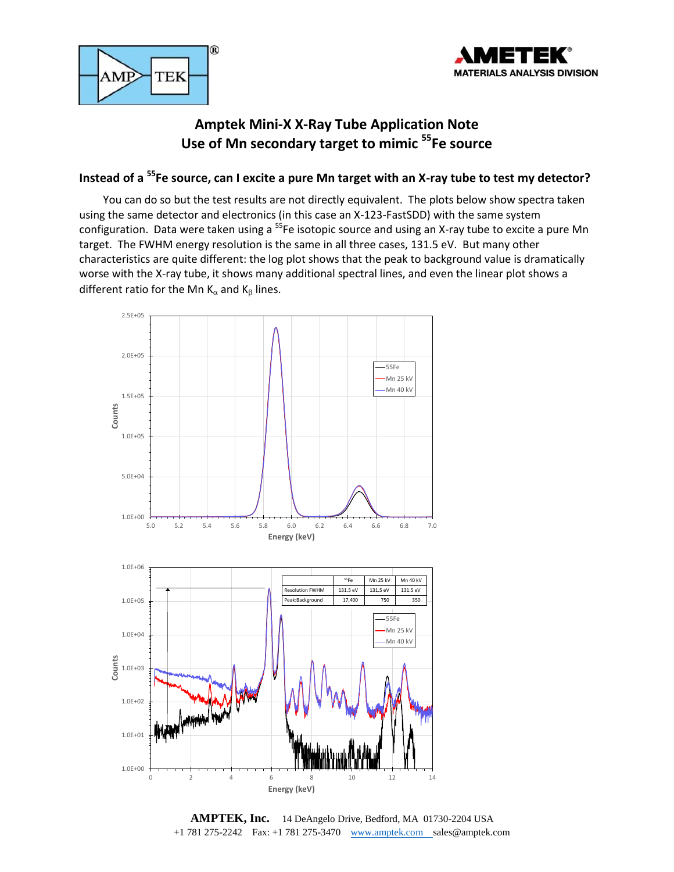



## **Amptek Mini-X X-Ray Tube Application Note Use of Mn secondary target to mimic <sup>55</sup>Fe source**

## **Instead of a <sup>55</sup>Fe source, can I excite a pure Mn target with an X-ray tube to test my detector?**

You can do so but the test results are not directly equivalent. The plots below show spectra taken using the same detector and electronics (in this case an X-123-FastSDD) with the same system configuration. Data were taken using a <sup>55</sup>Fe isotopic source and using an X-ray tube to excite a pure Mn target. The FWHM energy resolution is the same in all three cases, 131.5 eV. But many other characteristics are quite different: the log plot shows that the peak to background value is dramatically worse with the X-ray tube, it shows many additional spectral lines, and even the linear plot shows a different ratio for the Mn  $K_{\alpha}$  and  $K_{\beta}$  lines.



**AMPTEK, Inc.** 14 DeAngelo Drive, Bedford, MA 01730-2204 USA +1 781 275-2242 Fax: +1 781 275-3470 [www.amptek.com](http://www.amptek.com/) sales@amptek.com